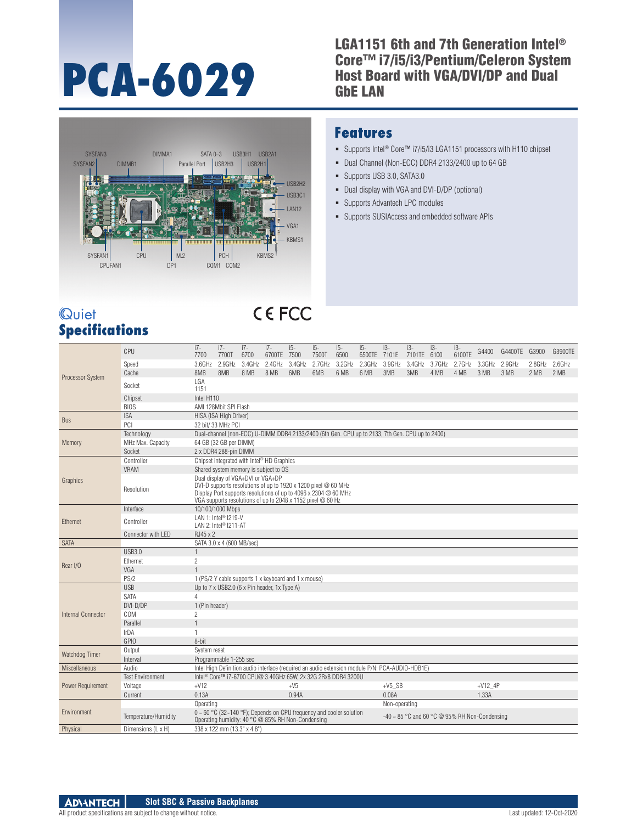# **PCA-6029**

#### LGA1151 6th and 7th Generation Intel® Core™ i7/i5/i3/Pentium/Celeron System Host Board with VGA/DVI/DP and Dual GbE LAN



#### **Features**

- Supports Intel<sup>®</sup> Core™ i7/i5/i3 LGA1151 processors with H110 chipset
- Dual Channel (Non-ECC) DDR4 2133/2400 up to 64 GB
- Supports USB 3.0, SATA3.0
- Dual display with VGA and DVI-D/DP (optional)
- Supports Advantech LPC modules
- Supports SUSIAccess and embedded software APIs

#### **Quiet Specifications**

## **CEFCC**

| Processor System   | CPU                     | $i7-$<br>7700                                                                                                                                                                       | $i7-$<br>7700T                                                                                                                                                                                                                        | $i7-$<br>6700 | $i7-$<br>6700TE | $i5-$<br>7500 | $i5-$<br>7500T | $i5-$<br>6500                                                             | $i5-$<br>6500TE                                                                                 | $i3-$<br>7101E | $i3-$<br>7101TE | $i3-$<br>6100 | $i3-$<br>6100TE | G4400         | G4400TE G3900 |        | G3900TE |
|--------------------|-------------------------|-------------------------------------------------------------------------------------------------------------------------------------------------------------------------------------|---------------------------------------------------------------------------------------------------------------------------------------------------------------------------------------------------------------------------------------|---------------|-----------------|---------------|----------------|---------------------------------------------------------------------------|-------------------------------------------------------------------------------------------------|----------------|-----------------|---------------|-----------------|---------------|---------------|--------|---------|
|                    | Speed                   | 3.6GHz                                                                                                                                                                              | 2.9GHz                                                                                                                                                                                                                                | 3.4GHz 2.4GHz |                 | 3.4GHz        | 2.7GHz         |                                                                           | 3.2GHz 2.3GHz                                                                                   | 3.9GHz         | 3.4GHz          | 3.7GHz        | 2.7GHz          | 3.3GHz 2.9GHz |               | 2.8GHz | 2.6GHz  |
|                    | Cache                   | 8MB                                                                                                                                                                                 | 8MB                                                                                                                                                                                                                                   | 8 MB          | 8 MB            | 6MB           | 6MB            | 6 MB                                                                      | 6 MB                                                                                            | 3MB            | 3MB             | 4 MB          | 4 MB            | 3 MB          | 3 MB          | 2 MB   | 2 MB    |
|                    | Socket                  | LGA<br>1151                                                                                                                                                                         |                                                                                                                                                                                                                                       |               |                 |               |                |                                                                           |                                                                                                 |                |                 |               |                 |               |               |        |         |
|                    | Chipset                 | Intel H110                                                                                                                                                                          |                                                                                                                                                                                                                                       |               |                 |               |                |                                                                           |                                                                                                 |                |                 |               |                 |               |               |        |         |
|                    | <b>BIOS</b>             | AMI 128Mbit SPI Flash                                                                                                                                                               |                                                                                                                                                                                                                                       |               |                 |               |                |                                                                           |                                                                                                 |                |                 |               |                 |               |               |        |         |
| <b>Bus</b>         | <b>ISA</b>              |                                                                                                                                                                                     | HISA (ISA High Driver)                                                                                                                                                                                                                |               |                 |               |                |                                                                           |                                                                                                 |                |                 |               |                 |               |               |        |         |
|                    | PCI                     | 32 bit/ 33 MHz PCI<br>Dual-channel (non-ECC) U-DIMM DDR4 2133/2400 (6th Gen. CPU up to 2133, 7th Gen. CPU up to 2400)                                                               |                                                                                                                                                                                                                                       |               |                 |               |                |                                                                           |                                                                                                 |                |                 |               |                 |               |               |        |         |
| Memory             | Technology              |                                                                                                                                                                                     |                                                                                                                                                                                                                                       |               |                 |               |                |                                                                           |                                                                                                 |                |                 |               |                 |               |               |        |         |
|                    | MHz Max. Capacity       |                                                                                                                                                                                     | 64 GB (32 GB per DIMM)                                                                                                                                                                                                                |               |                 |               |                |                                                                           |                                                                                                 |                |                 |               |                 |               |               |        |         |
|                    | Socket                  |                                                                                                                                                                                     | 2 x DDR4 288-pin DIMM                                                                                                                                                                                                                 |               |                 |               |                |                                                                           |                                                                                                 |                |                 |               |                 |               |               |        |         |
|                    | Controller              |                                                                                                                                                                                     | Chipset integrated with Intel® HD Graphics                                                                                                                                                                                            |               |                 |               |                |                                                                           |                                                                                                 |                |                 |               |                 |               |               |        |         |
|                    | <b>VRAM</b>             | Shared system memory is subject to OS                                                                                                                                               |                                                                                                                                                                                                                                       |               |                 |               |                |                                                                           |                                                                                                 |                |                 |               |                 |               |               |        |         |
| Graphics           | Resolution              |                                                                                                                                                                                     | Dual display of VGA+DVI or VGA+DP<br>DVI-D supports resolutions of up to 1920 x 1200 pixel @ 60 MHz<br>Display Port supports resolutions of up to 4096 x 2304 @ 60 MHz<br>VGA supports resolutions of up to 2048 x 1152 pixel @ 60 Hz |               |                 |               |                |                                                                           |                                                                                                 |                |                 |               |                 |               |               |        |         |
| Ethernet           | Interface               |                                                                                                                                                                                     | 10/100/1000 Mbps                                                                                                                                                                                                                      |               |                 |               |                |                                                                           |                                                                                                 |                |                 |               |                 |               |               |        |         |
|                    | Controller              | LAN 1: Intel <sup>®</sup> I219-V<br>LAN 2: Intel <sup>®</sup> I211-AT                                                                                                               |                                                                                                                                                                                                                                       |               |                 |               |                |                                                                           |                                                                                                 |                |                 |               |                 |               |               |        |         |
|                    | Connector with LED      | RJ45 x 2                                                                                                                                                                            |                                                                                                                                                                                                                                       |               |                 |               |                |                                                                           |                                                                                                 |                |                 |               |                 |               |               |        |         |
| SATA               |                         | SATA 3.0 x 4 (600 MB/sec)                                                                                                                                                           |                                                                                                                                                                                                                                       |               |                 |               |                |                                                                           |                                                                                                 |                |                 |               |                 |               |               |        |         |
|                    | <b>USB3.0</b>           | 1                                                                                                                                                                                   |                                                                                                                                                                                                                                       |               |                 |               |                |                                                                           |                                                                                                 |                |                 |               |                 |               |               |        |         |
| Rear I/O           | Ethernet                | $\overline{c}$                                                                                                                                                                      |                                                                                                                                                                                                                                       |               |                 |               |                |                                                                           |                                                                                                 |                |                 |               |                 |               |               |        |         |
|                    | VGA                     | $\mathbf{1}$                                                                                                                                                                        |                                                                                                                                                                                                                                       |               |                 |               |                |                                                                           |                                                                                                 |                |                 |               |                 |               |               |        |         |
|                    | PS/2                    | 1 (PS/2 Y cable supports 1 x keyboard and 1 x mouse)<br>Up to 7 x USB2.0 (6 x Pin header, 1x Type A)                                                                                |                                                                                                                                                                                                                                       |               |                 |               |                |                                                                           |                                                                                                 |                |                 |               |                 |               |               |        |         |
|                    | <b>USB</b>              |                                                                                                                                                                                     |                                                                                                                                                                                                                                       |               |                 |               |                |                                                                           |                                                                                                 |                |                 |               |                 |               |               |        |         |
|                    | <b>SATA</b>             | $\overline{4}$                                                                                                                                                                      |                                                                                                                                                                                                                                       |               |                 |               |                |                                                                           |                                                                                                 |                |                 |               |                 |               |               |        |         |
| Internal Connector | DVI-D/DP<br>COM         | 1 (Pin header)<br>$\overline{c}$                                                                                                                                                    |                                                                                                                                                                                                                                       |               |                 |               |                |                                                                           |                                                                                                 |                |                 |               |                 |               |               |        |         |
|                    | Parallel                | $\mathbf{1}$                                                                                                                                                                        |                                                                                                                                                                                                                                       |               |                 |               |                |                                                                           |                                                                                                 |                |                 |               |                 |               |               |        |         |
|                    | IrDA                    | 1                                                                                                                                                                                   |                                                                                                                                                                                                                                       |               |                 |               |                |                                                                           |                                                                                                 |                |                 |               |                 |               |               |        |         |
|                    | <b>GPIO</b>             | 8-bit                                                                                                                                                                               |                                                                                                                                                                                                                                       |               |                 |               |                |                                                                           |                                                                                                 |                |                 |               |                 |               |               |        |         |
|                    | Output                  | System reset                                                                                                                                                                        |                                                                                                                                                                                                                                       |               |                 |               |                |                                                                           |                                                                                                 |                |                 |               |                 |               |               |        |         |
| Watchdog Timer     | Interval                |                                                                                                                                                                                     | Programmable 1-255 sec                                                                                                                                                                                                                |               |                 |               |                |                                                                           |                                                                                                 |                |                 |               |                 |               |               |        |         |
| Miscellaneous      | Audio                   |                                                                                                                                                                                     |                                                                                                                                                                                                                                       |               |                 |               |                |                                                                           | Intel High Definition audio interface (required an audio extension module P/N: PCA-AUDIO-HDB1E) |                |                 |               |                 |               |               |        |         |
| Power Requirement  | <b>Test Environment</b> |                                                                                                                                                                                     |                                                                                                                                                                                                                                       |               |                 |               |                | Intel <sup>®</sup> Core™ i7-6700 CPU@ 3.40GHz 65W, 2x 32G 2Rx8 DDR4 3200U |                                                                                                 |                |                 |               |                 |               |               |        |         |
|                    | Voltage                 | $+V12$                                                                                                                                                                              |                                                                                                                                                                                                                                       |               |                 | $+V5$         |                |                                                                           |                                                                                                 | $+V5$ SB       |                 |               |                 | $+V12$ 4P     |               |        |         |
|                    | Current                 | 0.13A                                                                                                                                                                               |                                                                                                                                                                                                                                       |               |                 | 0.94A         |                |                                                                           |                                                                                                 | 0.08A          |                 |               |                 | 1.33A         |               |        |         |
| Fnvironment        |                         | Operating                                                                                                                                                                           |                                                                                                                                                                                                                                       |               |                 |               |                |                                                                           |                                                                                                 | Non-operating  |                 |               |                 |               |               |        |         |
|                    | Temperature/Humidity    | $0 \sim 60$ °C (32~140 °F); Depends on CPU frequency and cooler solution<br>-40 $\sim$ 85 °C and 60 °C @ 95% RH Non-Condensing<br>Operating humidity: 40 °C @ 85% RH Non-Condensing |                                                                                                                                                                                                                                       |               |                 |               |                |                                                                           |                                                                                                 |                |                 |               |                 |               |               |        |         |
| Physical           | Dimensions (L x H)      |                                                                                                                                                                                     | 338 x 122 mm (13.3" x 4.8")                                                                                                                                                                                                           |               |                 |               |                |                                                                           |                                                                                                 |                |                 |               |                 |               |               |        |         |